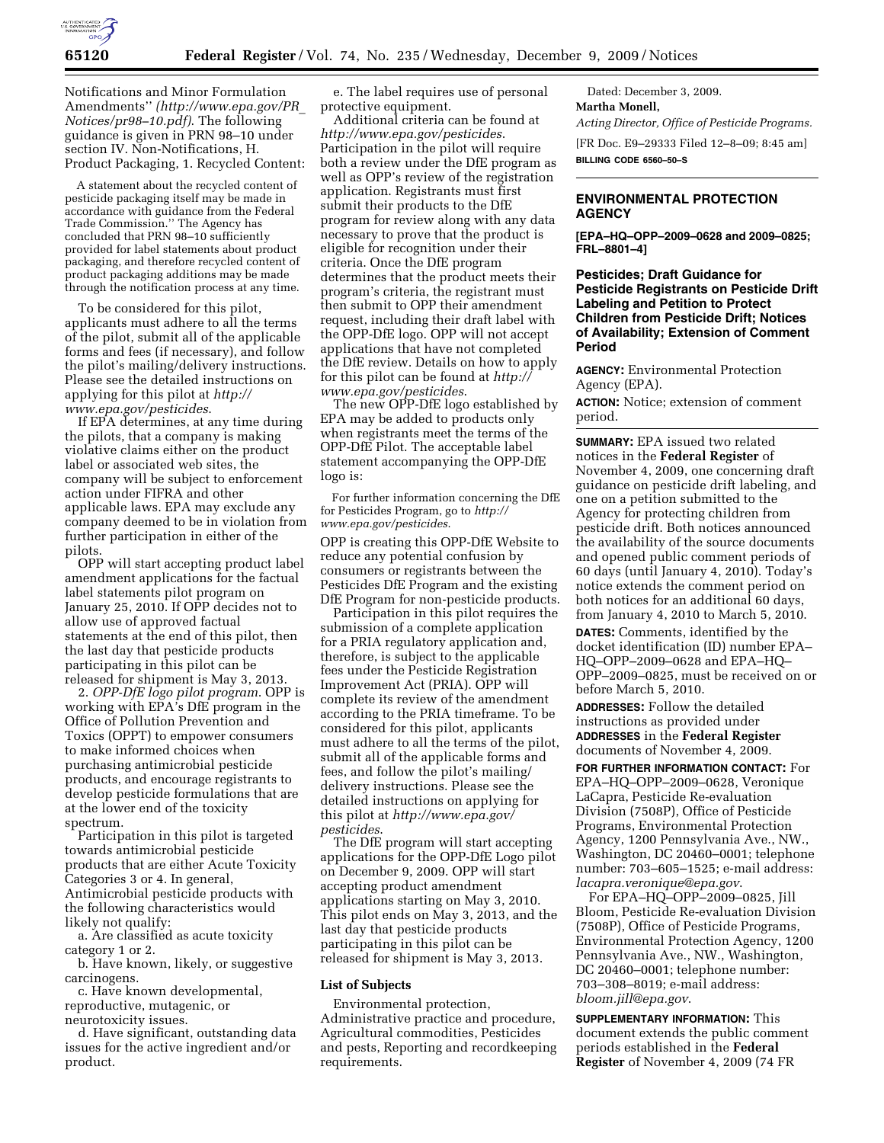

Notifications and Minor Formulation Amendments'' *(http://www.epa.gov/PR*\_ *Notices/pr98–10.pdf)*. The following guidance is given in PRN 98–10 under section IV. Non-Notifications, H. Product Packaging, 1. Recycled Content:

A statement about the recycled content of pesticide packaging itself may be made in accordance with guidance from the Federal Trade Commission.'' The Agency has concluded that PRN 98–10 sufficiently provided for label statements about product packaging, and therefore recycled content of product packaging additions may be made through the notification process at any time.

To be considered for this pilot, applicants must adhere to all the terms of the pilot, submit all of the applicable forms and fees (if necessary), and follow the pilot's mailing/delivery instructions. Please see the detailed instructions on applying for this pilot at *http:// www.epa.gov/pesticides*.

If EPA determines, at any time during the pilots, that a company is making violative claims either on the product label or associated web sites, the company will be subject to enforcement action under FIFRA and other applicable laws. EPA may exclude any company deemed to be in violation from further participation in either of the pilots.

OPP will start accepting product label amendment applications for the factual label statements pilot program on January 25, 2010. If OPP decides not to allow use of approved factual statements at the end of this pilot, then the last day that pesticide products participating in this pilot can be released for shipment is May 3, 2013.

2. *OPP-DfE logo pilot program*. OPP is working with EPA's DfE program in the Office of Pollution Prevention and Toxics (OPPT) to empower consumers to make informed choices when purchasing antimicrobial pesticide products, and encourage registrants to develop pesticide formulations that are at the lower end of the toxicity spectrum.

Participation in this pilot is targeted towards antimicrobial pesticide products that are either Acute Toxicity Categories 3 or 4. In general, Antimicrobial pesticide products with the following characteristics would likely not qualify:

a. Are classified as acute toxicity category 1 or 2.

b. Have known, likely, or suggestive carcinogens.

c. Have known developmental, reproductive, mutagenic, or neurotoxicity issues.

d. Have significant, outstanding data issues for the active ingredient and/or product.

e. The label requires use of personal protective equipment.

Additional criteria can be found at *http://www.epa.gov/pesticides*. Participation in the pilot will require both a review under the DfE program as well as OPP's review of the registration application. Registrants must first submit their products to the DfE program for review along with any data necessary to prove that the product is eligible for recognition under their criteria. Once the DfE program determines that the product meets their program's criteria, the registrant must then submit to OPP their amendment request, including their draft label with the OPP-DfE logo. OPP will not accept applications that have not completed the DfE review. Details on how to apply for this pilot can be found at *http:// www.epa.gov/pesticides*.

The new OPP-DfE logo established by EPA may be added to products only when registrants meet the terms of the OPP-DfE Pilot. The acceptable label statement accompanying the OPP-DfE logo is:

For further information concerning the DfE for Pesticides Program, go to *http:// www.epa.gov/pesticides*.

OPP is creating this OPP-DfE Website to reduce any potential confusion by consumers or registrants between the Pesticides DfE Program and the existing DfE Program for non-pesticide products.

Participation in this pilot requires the submission of a complete application for a PRIA regulatory application and, therefore, is subject to the applicable fees under the Pesticide Registration Improvement Act (PRIA). OPP will complete its review of the amendment according to the PRIA timeframe. To be considered for this pilot, applicants must adhere to all the terms of the pilot, submit all of the applicable forms and fees, and follow the pilot's mailing/ delivery instructions. Please see the detailed instructions on applying for this pilot at *http://www.epa.gov/ pesticides*.

The DfE program will start accepting applications for the OPP-DfE Logo pilot on December 9, 2009. OPP will start accepting product amendment applications starting on May 3, 2010. This pilot ends on May 3, 2013, and the last day that pesticide products participating in this pilot can be released for shipment is May 3, 2013.

### **List of Subjects**

Environmental protection, Administrative practice and procedure, Agricultural commodities, Pesticides and pests, Reporting and recordkeeping requirements.

Dated: December 3, 2009. **Martha Monell,**  *Acting Director, Office of Pesticide Programs.*  [FR Doc. E9–29333 Filed 12–8–09; 8:45 am]

**BILLING CODE 6560–50–S** 

# **ENVIRONMENTAL PROTECTION AGENCY**

**[EPA–HQ–OPP–2009–0628 and 2009–0825; FRL–8801–4]** 

**Pesticides; Draft Guidance for Pesticide Registrants on Pesticide Drift Labeling and Petition to Protect Children from Pesticide Drift; Notices of Availability; Extension of Comment Period** 

**AGENCY:** Environmental Protection Agency (EPA).

**ACTION:** Notice; extension of comment period.

**SUMMARY:** EPA issued two related notices in the **Federal Register** of November 4, 2009, one concerning draft guidance on pesticide drift labeling, and one on a petition submitted to the Agency for protecting children from pesticide drift. Both notices announced the availability of the source documents and opened public comment periods of 60 days (until January 4, 2010). Today's notice extends the comment period on both notices for an additional 60 days, from January 4, 2010 to March 5, 2010.

**DATES:** Comments, identified by the docket identification (ID) number EPA– HQ–OPP–2009–0628 and EPA–HQ– OPP–2009–0825, must be received on or before March 5, 2010.

**ADDRESSES:** Follow the detailed instructions as provided under **ADDRESSES** in the **Federal Register**  documents of November 4, 2009.

**FOR FURTHER INFORMATION CONTACT:** For EPA–HQ–OPP–2009–0628, Veronique LaCapra, Pesticide Re-evaluation Division (7508P), Office of Pesticide Programs, Environmental Protection Agency, 1200 Pennsylvania Ave., NW., Washington, DC 20460–0001; telephone number: 703–605–1525; e-mail address: *lacapra.veronique@epa.gov*.

For EPA–HQ–OPP–2009–0825, Jill Bloom, Pesticide Re-evaluation Division (7508P), Office of Pesticide Programs, Environmental Protection Agency, 1200 Pennsylvania Ave., NW., Washington, DC 20460–0001; telephone number: 703–308–8019; e-mail address: *bloom.jill@epa.gov*.

**SUPPLEMENTARY INFORMATION:** This document extends the public comment periods established in the **Federal Register** of November 4, 2009 (74 FR